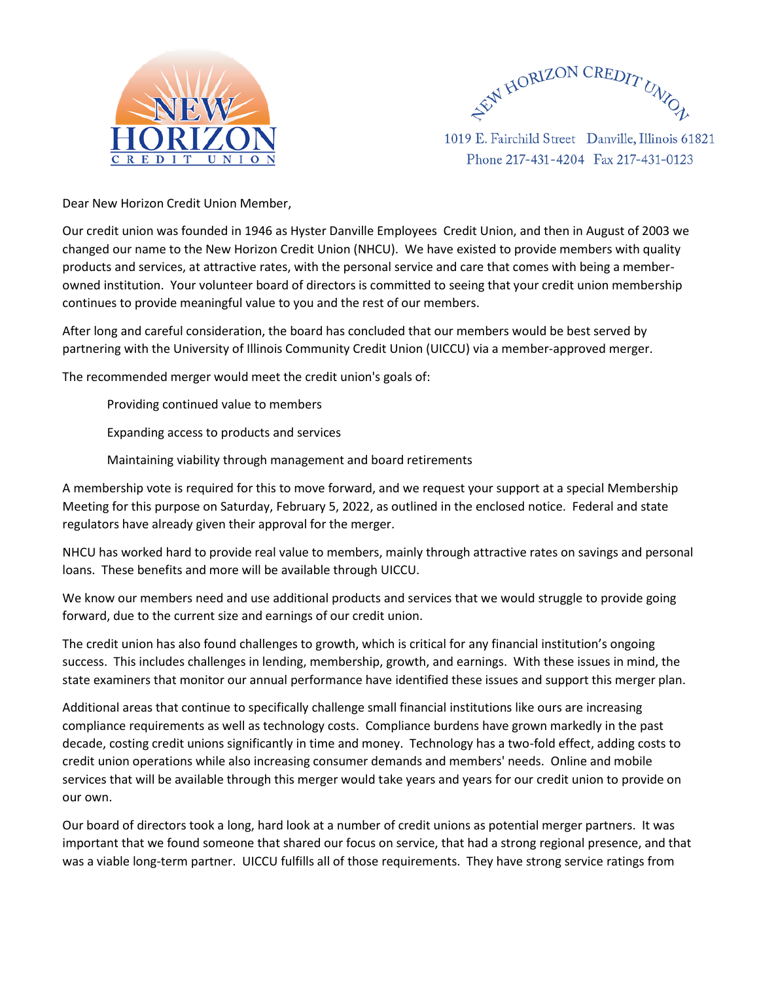



1019 E. Fairchild Street Danville, Illinois 61821 Phone 217-431-4204 Fax 217-431-0123

Dear New Horizon Credit Union Member,

Our credit union was founded in 1946 as Hyster Danville Employees Credit Union, and then in August of 2003 we changed our name to the New Horizon Credit Union (NHCU). We have existed to provide members with quality products and services, at attractive rates, with the personal service and care that comes with being a memberowned institution. Your volunteer board of directors is committed to seeing that your credit union membership continues to provide meaningful value to you and the rest of our members.

After long and careful consideration, the board has concluded that our members would be best served by partnering with the University of Illinois Community Credit Union (UICCU) via a member-approved merger.

The recommended merger would meet the credit union's goals of:

Providing continued value to members

Expanding access to products and services

Maintaining viability through management and board retirements

A membership vote is required for this to move forward, and we request your support at a special Membership Meeting for this purpose on Saturday, February 5, 2022, as outlined in the enclosed notice. Federal and state regulators have already given their approval for the merger.

NHCU has worked hard to provide real value to members, mainly through attractive rates on savings and personal loans. These benefits and more will be available through UICCU.

We know our members need and use additional products and services that we would struggle to provide going forward, due to the current size and earnings of our credit union.

The credit union has also found challenges to growth, which is critical for any financial institution's ongoing success. This includes challenges in lending, membership, growth, and earnings. With these issues in mind, the state examiners that monitor our annual performance have identified these issues and support this merger plan.

Additional areas that continue to specifically challenge small financial institutions like ours are increasing compliance requirements as well as technology costs. Compliance burdens have grown markedly in the past decade, costing credit unions significantly in time and money. Technology has a two-fold effect, adding costs to credit union operations while also increasing consumer demands and members' needs. Online and mobile services that will be available through this merger would take years and years for our credit union to provide on our own.

Our board of directors took a long, hard look at a number of credit unions as potential merger partners. It was important that we found someone that shared our focus on service, that had a strong regional presence, and that was a viable long-term partner. UICCU fulfills all of those requirements. They have strong service ratings from